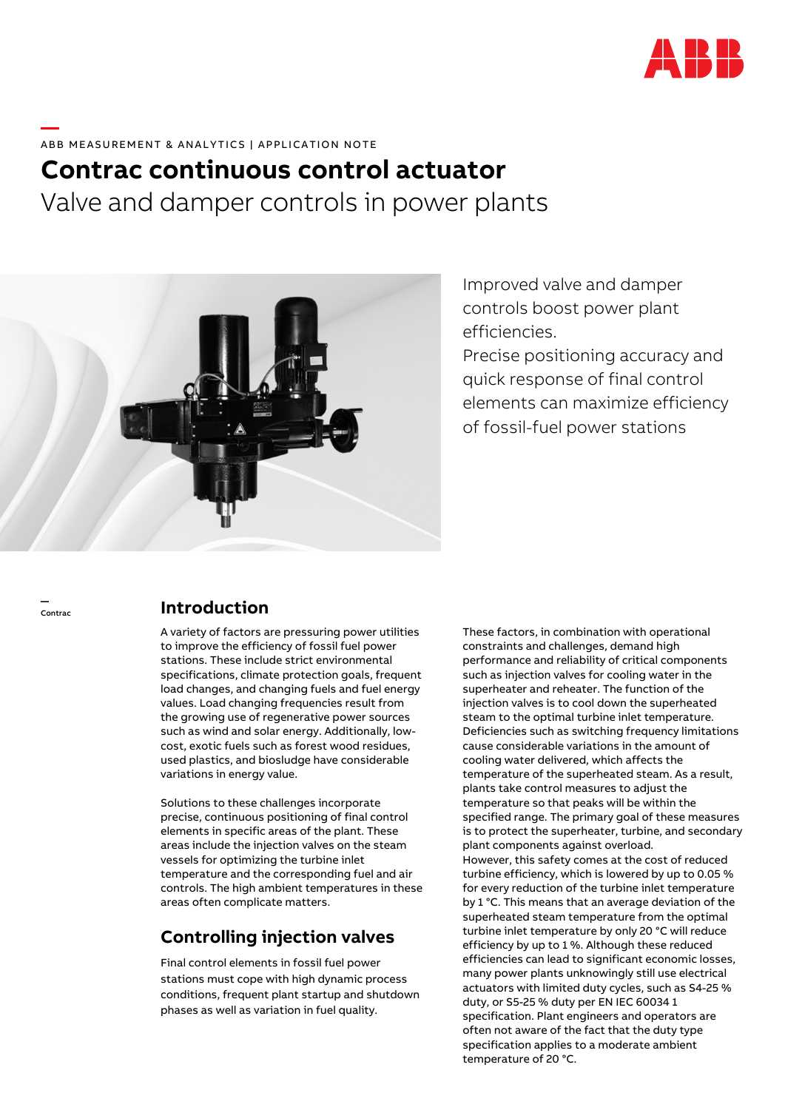

### **—**  ABB MEASUREMENT & ANALYTICS | APPLICATION NOTE

# **Contrac continuous control actuator**  Valve and damper controls in power plants



Improved valve and damper controls boost power plant efficiencies.

Precise positioning accuracy and quick response of final control elements can maximize efficiency of fossil-fuel power stations

—

### Contrac **Introduction**

A variety of factors are pressuring power utilities to improve the efficiency of fossil fuel power stations. These include strict environmental specifications, climate protection goals, frequent load changes, and changing fuels and fuel energy values. Load changing frequencies result from the growing use of regenerative power sources such as wind and solar energy. Additionally, lowcost, exotic fuels such as forest wood residues, used plastics, and biosludge have considerable variations in energy value.

Solutions to these challenges incorporate precise, continuous positioning of final control elements in specific areas of the plant. These areas include the injection valves on the steam vessels for optimizing the turbine inlet temperature and the corresponding fuel and air controls. The high ambient temperatures in these areas often complicate matters.

# **Controlling injection valves**

Final control elements in fossil fuel power stations must cope with high dynamic process conditions, frequent plant startup and shutdown phases as well as variation in fuel quality.

These factors, in combination with operational constraints and challenges, demand high performance and reliability of critical components such as injection valves for cooling water in the superheater and reheater. The function of the injection valves is to cool down the superheated steam to the optimal turbine inlet temperature. Deficiencies such as switching frequency limitations cause considerable variations in the amount of cooling water delivered, which affects the temperature of the superheated steam. As a result, plants take control measures to adjust the temperature so that peaks will be within the specified range. The primary goal of these measures is to protect the superheater, turbine, and secondary plant components against overload. However, this safety comes at the cost of reduced turbine efficiency, which is lowered by up to 0.05 % for every reduction of the turbine inlet temperature by 1 °C. This means that an average deviation of the superheated steam temperature from the optimal turbine inlet temperature by only 20 °C will reduce efficiency by up to 1 %. Although these reduced efficiencies can lead to significant economic losses, many power plants unknowingly still use electrical actuators with limited duty cycles, such as S4-25 % duty, or S5-25 % duty per EN IEC 60034 1 specification. Plant engineers and operators are often not aware of the fact that the duty type specification applies to a moderate ambient temperature of 20 °C.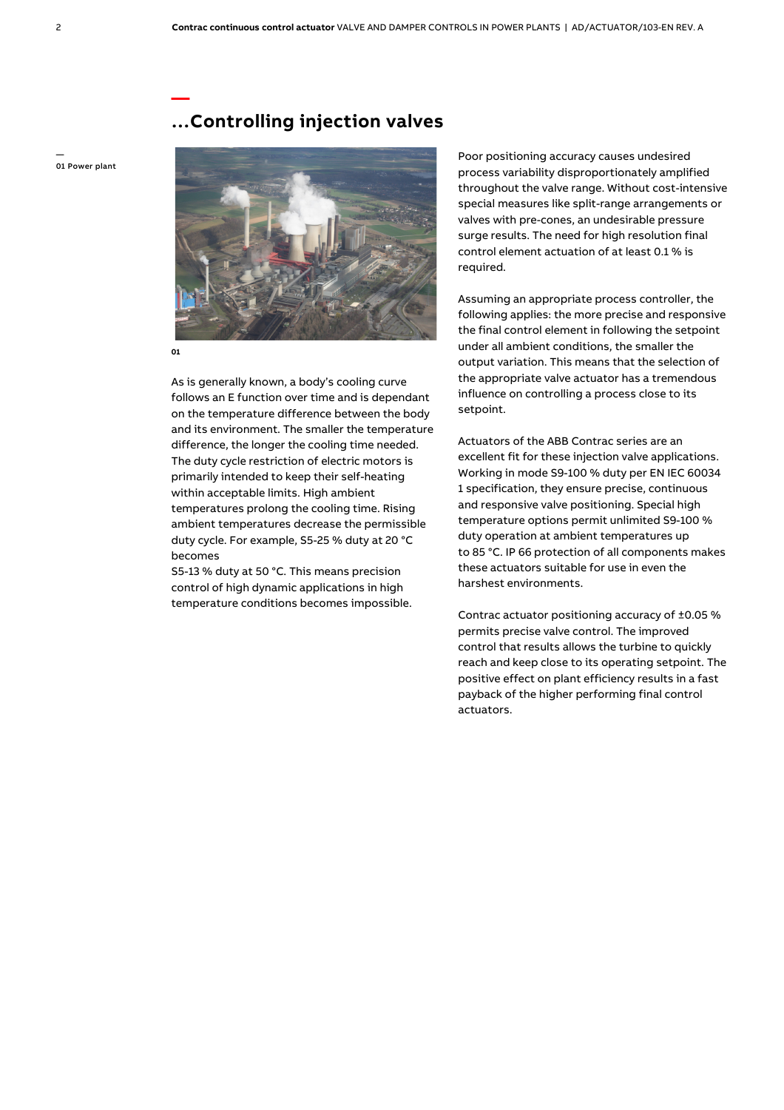# **…Controlling injection valves**

— 01 Power plant



**01** 

**—** 

As is generally known, a body's cooling curve follows an E function over time and is dependant on the temperature difference between the body and its environment. The smaller the temperature difference, the longer the cooling time needed. The duty cycle restriction of electric motors is primarily intended to keep their self-heating within acceptable limits. High ambient temperatures prolong the cooling time. Rising ambient temperatures decrease the permissible duty cycle. For example, S5-25 % duty at 20 °C becomes

S5-13 % duty at 50 °C. This means precision control of high dynamic applications in high temperature conditions becomes impossible.  Poor positioning accuracy causes undesired process variability disproportionately amplified throughout the valve range. Without cost-intensive special measures like split-range arrangements or valves with pre-cones, an undesirable pressure surge results. The need for high resolution final control element actuation of at least 0.1 % is required.

Assuming an appropriate process controller, the following applies: the more precise and responsive the final control element in following the setpoint under all ambient conditions, the smaller the output variation. This means that the selection of the appropriate valve actuator has a tremendous influence on controlling a process close to its setpoint.

Actuators of the ABB Contrac series are an excellent fit for these injection valve applications. Working in mode S9-100 % duty per EN IEC 60034 1 specification, they ensure precise, continuous and responsive valve positioning. Special high temperature options permit unlimited S9-100 % duty operation at ambient temperatures up to 85 °C. IP 66 protection of all components makes these actuators suitable for use in even the harshest environments.

Contrac actuator positioning accuracy of ±0.05 % permits precise valve control. The improved control that results allows the turbine to quickly reach and keep close to its operating setpoint. The positive effect on plant efficiency results in a fast payback of the higher performing final control actuators.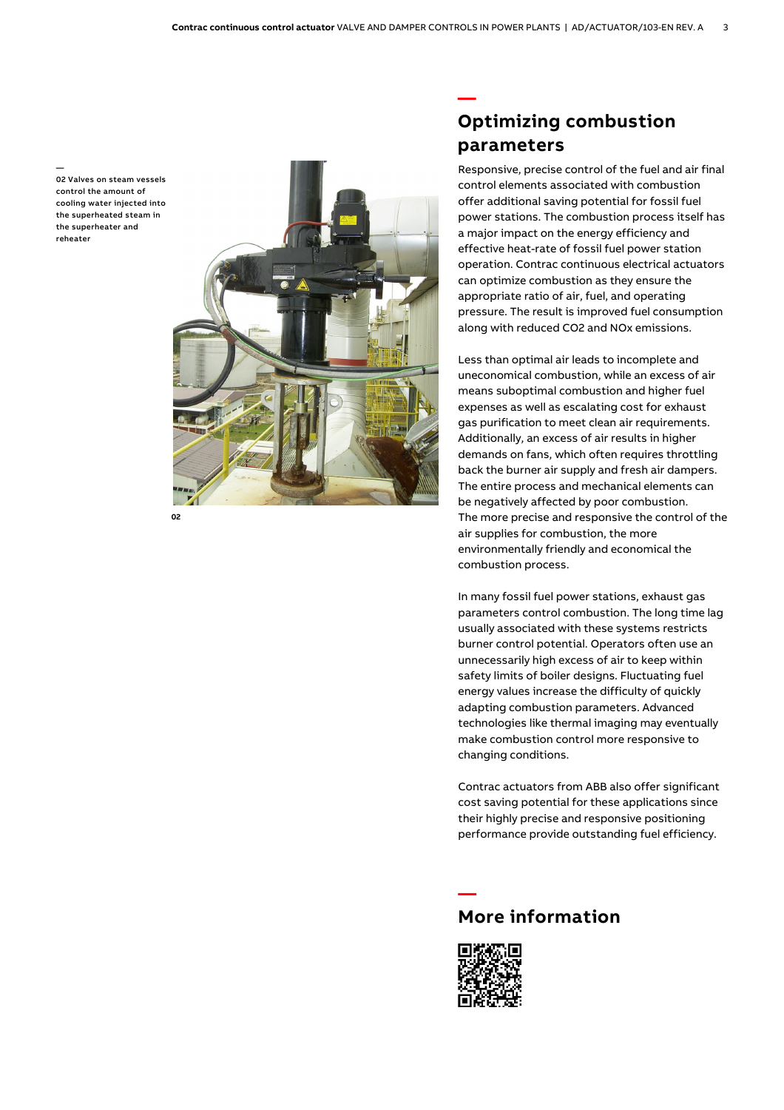— 02 Valves on steam vessels control the amount of cooling water injected into the superheated steam in the superheater and reheater



 **—** 

**02** 

# **Optimizing combustion parameters**

 Responsive, precise control of the fuel and air final control elements associated with combustion offer additional saving potential for fossil fuel power stations. The combustion process itself has a major impact on the energy efficiency and effective heat-rate of fossil fuel power station operation. Contrac continuous electrical actuators can optimize combustion as they ensure the appropriate ratio of air, fuel, and operating pressure. The result is improved fuel consumption along with reduced CO2 and NOx emissions.

Less than optimal air leads to incomplete and uneconomical combustion, while an excess of air means suboptimal combustion and higher fuel expenses as well as escalating cost for exhaust gas purification to meet clean air requirements. Additionally, an excess of air results in higher demands on fans, which often requires throttling back the burner air supply and fresh air dampers. The entire process and mechanical elements can be negatively affected by poor combustion. The more precise and responsive the control of the air supplies for combustion, the more environmentally friendly and economical the combustion process.

In many fossil fuel power stations, exhaust gas parameters control combustion. The long time lag usually associated with these systems restricts burner control potential. Operators often use an unnecessarily high excess of air to keep within safety limits of boiler designs. Fluctuating fuel energy values increase the difficulty of quickly adapting combustion parameters. Advanced technologies like thermal imaging may eventually make combustion control more responsive to changing conditions.

Contrac actuators from ABB also offer significant cost saving potential for these applications since their highly precise and responsive positioning performance provide outstanding fuel efficiency.



### **More information**